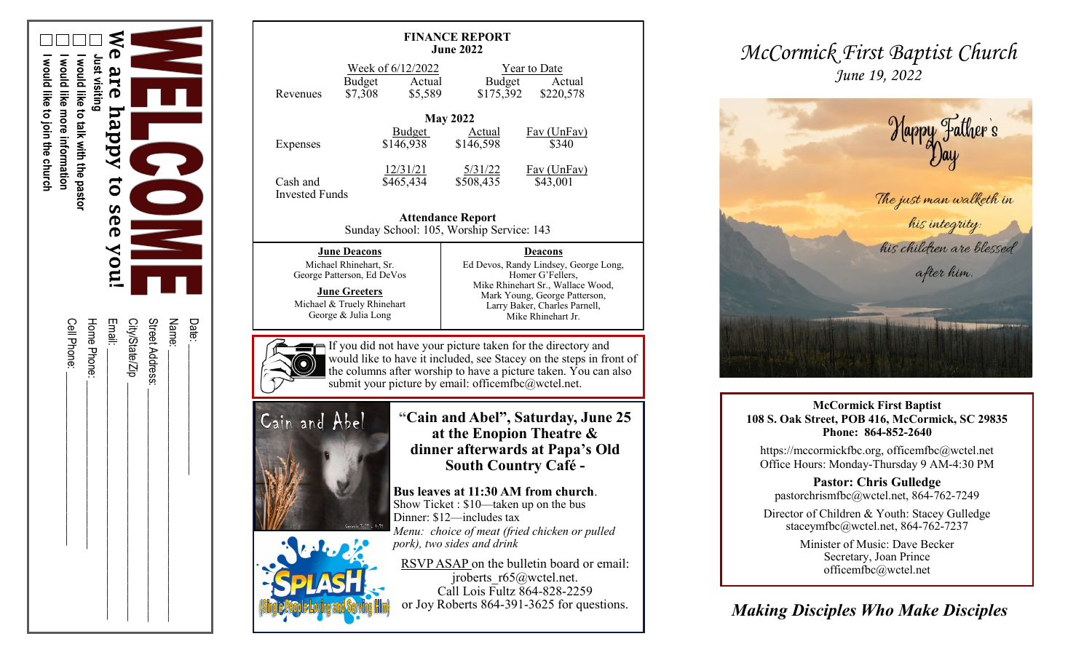

| <b>FINANCE REPORT</b><br><b>June 2022</b>                                                                                                                                                                                                                                                                                                                                                                                                                                                                                       |                                                                    |                                                                                                                                                                                                          |                                     |  |  |  |
|---------------------------------------------------------------------------------------------------------------------------------------------------------------------------------------------------------------------------------------------------------------------------------------------------------------------------------------------------------------------------------------------------------------------------------------------------------------------------------------------------------------------------------|--------------------------------------------------------------------|----------------------------------------------------------------------------------------------------------------------------------------------------------------------------------------------------------|-------------------------------------|--|--|--|
| Revenues                                                                                                                                                                                                                                                                                                                                                                                                                                                                                                                        | Week of 6/12/2022<br><b>Budget</b><br>Actual<br>\$7,308<br>\$5,589 | Budget<br>\$175,392                                                                                                                                                                                      | Year to Date<br>Actual<br>\$220,578 |  |  |  |
| <b>May 2022</b><br><b>Budget</b><br><b>Actual</b><br><b>Fav</b> (UnFav)<br>\$146,598<br>\$146,938<br>\$340                                                                                                                                                                                                                                                                                                                                                                                                                      |                                                                    |                                                                                                                                                                                                          |                                     |  |  |  |
| Expenses<br>Cash and<br><b>Invested Funds</b>                                                                                                                                                                                                                                                                                                                                                                                                                                                                                   | <u>12/31/21</u><br>\$465,434                                       | 5/31/22<br>\$508,435                                                                                                                                                                                     | Fav (UnFav)<br>\$43,001             |  |  |  |
| <b>Attendance Report</b><br>Sunday School: 105, Worship Service: 143                                                                                                                                                                                                                                                                                                                                                                                                                                                            |                                                                    |                                                                                                                                                                                                          |                                     |  |  |  |
| <b>June Deacons</b><br>Michael Rhinehart, Sr.<br>George Patterson, Ed DeVos<br><b>June Greeters</b><br>Michael & Truely Rhinehart<br>George & Julia Long                                                                                                                                                                                                                                                                                                                                                                        |                                                                    | <b>Deacons</b><br>Ed Devos, Randy Lindsey, George Long,<br>Homer G'Fellers,<br>Mike Rhinehart Sr., Wallace Wood,<br>Mark Young, George Patterson,<br>Larry Baker, Charles Parnell,<br>Mike Rhinehart Jr. |                                     |  |  |  |
| If you did not have your picture taken for the directory and<br>would like to have it included, see Stacey on the steps in front of<br>the columns after worship to have a picture taken. You can also<br>submit your picture by email: officemfbc@wctel.net.                                                                                                                                                                                                                                                                   |                                                                    |                                                                                                                                                                                                          |                                     |  |  |  |
| "Cain and Abel", Saturday, June 25<br>Cain and Abel<br>at the Enopion Theatre &<br>dinner afterwards at Papa's Old<br><b>South Country Café -</b><br>Bus leaves at 11:30 AM from church.<br>Show Ticket: \$10-taken up on the bus<br>Dinner: \$12—includes tax<br>Genesis $3:21 - 4:15$<br>Menu: choice of meat (fried chicken or pulled<br>pork), two sides and drink<br>RSVP ASAP on the bulletin board or email:<br>iroberts $r65@$ wctel.net.<br>Call Lois Fultz 864-828-2259<br>or Joy Roberts 864-391-3625 for questions. |                                                                    |                                                                                                                                                                                                          |                                     |  |  |  |

*McCormick First Baptist Church June 19, 2022*



**McCormick First Baptist 108 S. Oak Street, POB 416, McCormick, SC 29835 Phone: 864 -852 -2640**

https://mccormickfbc.org, officemfbc@wctel.net Office Hours: Monday -Thursday 9 AM -4:30 PM

**Pastor: Chris Gulledge** pastorchrismfbc@wctel.net, 864 -762 -7249

Director of Children & Youth: Stacey Gulledge staceymfbc@wctel.net, 864-762-7237

> Minister of Music: Dave Becker Secretary, Joan Prince officemfbc@wctel.net

*Making Disciples Who Make Disciples*